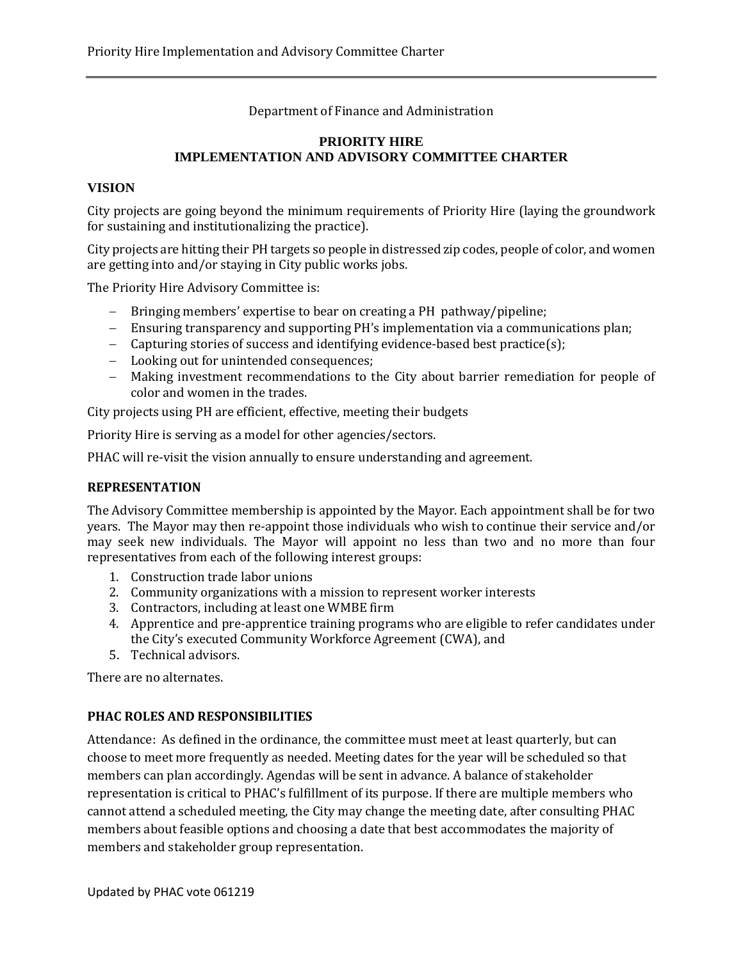Department of Finance and Administration

## **PRIORITY HIRE IMPLEMENTATION AND ADVISORY COMMITTEE CHARTER**

### **VISION**

City projects are going beyond the minimum requirements of Priority Hire (laying the groundwork for sustaining and institutionalizing the practice).

City projects are hitting their PH targets so people in distressed zip codes, people of color, and women are getting into and/or staying in City public works jobs.

The Priority Hire Advisory Committee is:

- − Bringing members' expertise to bear on creating a PH pathway/pipeline;
- − Ensuring transparency and supporting PH's implementation via a communications plan;
- − Capturing stories of success and identifying evidence-based best practice(s);
- − Looking out for unintended consequences;
- − Making investment recommendations to the City about barrier remediation for people of color and women in the trades.

City projects using PH are efficient, effective, meeting their budgets

Priority Hire is serving as a model for other agencies/sectors.

PHAC will re-visit the vision annually to ensure understanding and agreement.

### **REPRESENTATION**

The Advisory Committee membership is appointed by the Mayor. Each appointment shall be for two years. The Mayor may then re-appoint those individuals who wish to continue their service and/or may seek new individuals. The Mayor will appoint no less than two and no more than four representatives from each of the following interest groups:

- 1. Construction trade labor unions
- 2. Community organizations with a mission to represent worker interests
- 3. Contractors, including at least one WMBE firm
- 4. Apprentice and pre-apprentice training programs who are eligible to refer candidates under the City's executed Community Workforce Agreement (CWA), and
- 5. Technical advisors.

There are no alternates.

### **PHAC ROLES AND RESPONSIBILITIES**

Attendance: As defined in the ordinance, the committee must meet at least quarterly, but can choose to meet more frequently as needed. Meeting dates for the year will be scheduled so that members can plan accordingly. Agendas will be sent in advance. A balance of stakeholder representation is critical to PHAC's fulfillment of its purpose. If there are multiple members who cannot attend a scheduled meeting, the City may change the meeting date, after consulting PHAC members about feasible options and choosing a date that best accommodates the majority of members and stakeholder group representation.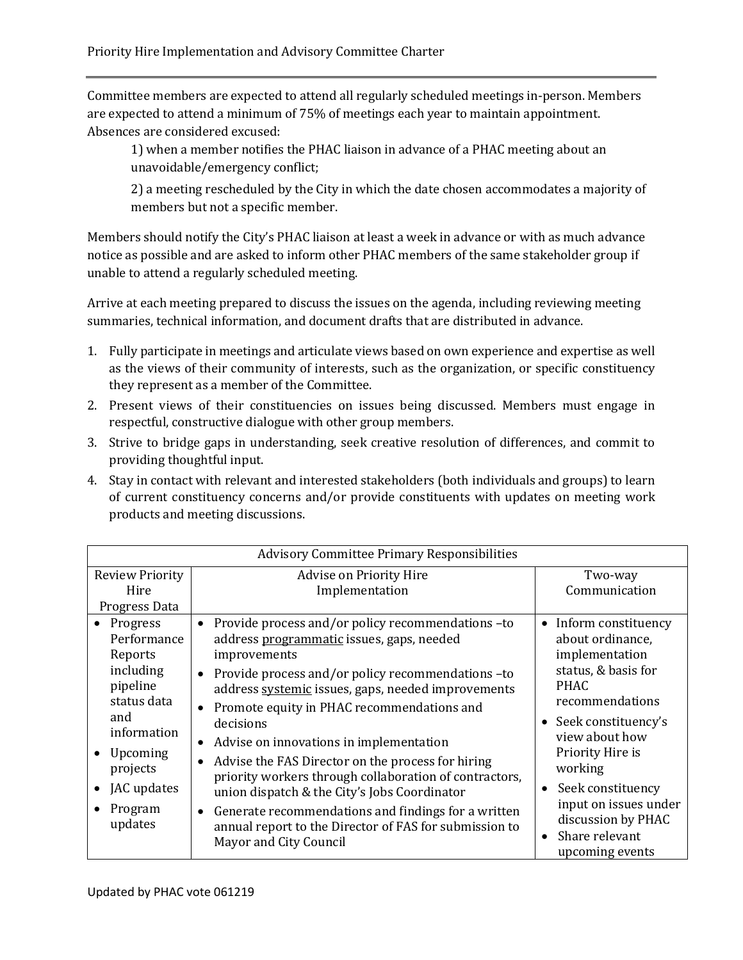Committee members are expected to attend all regularly scheduled meetings in-person. Members are expected to attend a minimum of 75% of meetings each year to maintain appointment. Absences are considered excused:

1) when a member notifies the PHAC liaison in advance of a PHAC meeting about an unavoidable/emergency conflict;

2) a meeting rescheduled by the City in which the date chosen accommodates a majority of members but not a specific member.

Members should notify the City's PHAC liaison at least a week in advance or with as much advance notice as possible and are asked to inform other PHAC members of the same stakeholder group if unable to attend a regularly scheduled meeting.

Arrive at each meeting prepared to discuss the issues on the agenda, including reviewing meeting summaries, technical information, and document drafts that are distributed in advance.

- 1. Fully participate in meetings and articulate views based on own experience and expertise as well as the views of their community of interests, such as the organization, or specific constituency they represent as a member of the Committee.
- 2. Present views of their constituencies on issues being discussed. Members must engage in respectful, constructive dialogue with other group members.
- 3. Strive to bridge gaps in understanding, seek creative resolution of differences, and commit to providing thoughtful input.
- 4. Stay in contact with relevant and interested stakeholders (both individuals and groups) to learn of current constituency concerns and/or provide constituents with updates on meeting work products and meeting discussions.

| <b>Advisory Committee Primary Responsibilities</b>                                                                                                            |                                                                                                                                                                                                                                                                                                                                                                                                                                                                                                                                                                                                                                                                     |                                                                                                                                                                                                                                                                                                         |
|---------------------------------------------------------------------------------------------------------------------------------------------------------------|---------------------------------------------------------------------------------------------------------------------------------------------------------------------------------------------------------------------------------------------------------------------------------------------------------------------------------------------------------------------------------------------------------------------------------------------------------------------------------------------------------------------------------------------------------------------------------------------------------------------------------------------------------------------|---------------------------------------------------------------------------------------------------------------------------------------------------------------------------------------------------------------------------------------------------------------------------------------------------------|
| <b>Review Priority</b><br>Hire<br>Progress Data                                                                                                               | Advise on Priority Hire<br>Implementation                                                                                                                                                                                                                                                                                                                                                                                                                                                                                                                                                                                                                           | Two-way<br>Communication                                                                                                                                                                                                                                                                                |
| Progress<br>Performance<br>Reports<br>including<br>pipeline<br>status data<br>and<br>information<br>Upcoming<br>projects<br>JAC updates<br>Program<br>updates | Provide process and/or policy recommendations -to<br>$\bullet$<br>address programmatic issues, gaps, needed<br>improvements<br>Provide process and/or policy recommendations -to<br>$\bullet$<br>address systemic issues, gaps, needed improvements<br>Promote equity in PHAC recommendations and<br>decisions<br>Advise on innovations in implementation<br>Advise the FAS Director on the process for hiring<br>priority workers through collaboration of contractors,<br>union dispatch & the City's Jobs Coordinator<br>Generate recommendations and findings for a written<br>annual report to the Director of FAS for submission to<br>Mayor and City Council | • Inform constituency<br>about ordinance,<br>implementation<br>status, & basis for<br><b>PHAC</b><br>recommendations<br>• Seek constituency's<br>view about how<br>Priority Hire is<br>working<br>Seek constituency<br>input on issues under<br>discussion by PHAC<br>Share relevant<br>upcoming events |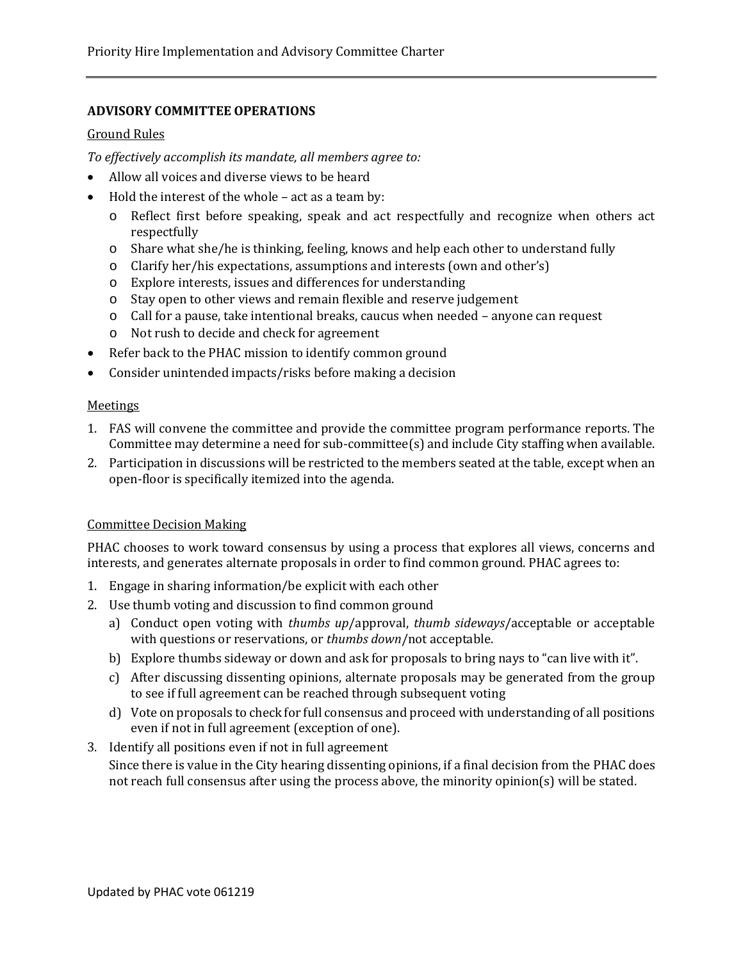# **ADVISORY COMMITTEE OPERATIONS**

### Ground Rules

*To effectively accomplish its mandate, all members agree to:* 

- Allow all voices and diverse views to be heard
- Hold the interest of the whole act as a team by:
	- o Reflect first before speaking, speak and act respectfully and recognize when others act respectfully
	- o Share what she/he is thinking, feeling, knows and help each other to understand fully
	- o Clarify her/his expectations, assumptions and interests (own and other's)
	- o Explore interests, issues and differences for understanding
	- o Stay open to other views and remain flexible and reserve judgement
	- o Call for a pause, take intentional breaks, caucus when needed anyone can request
	- o Not rush to decide and check for agreement
- Refer back to the PHAC mission to identify common ground
- Consider unintended impacts/risks before making a decision

#### **Meetings**

- 1. FAS will convene the committee and provide the committee program performance reports. The Committee may determine a need for sub-committee(s) and include City staffing when available.
- 2. Participation in discussions will be restricted to the members seated at the table, except when an open-floor is specifically itemized into the agenda.

### Committee Decision Making

PHAC chooses to work toward consensus by using a process that explores all views, concerns and interests, and generates alternate proposals in order to find common ground. PHAC agrees to:

- 1. Engage in sharing information/be explicit with each other
- 2. Use thumb voting and discussion to find common ground
	- a) Conduct open voting with *thumbs up*/approval, *thumb sideways*/acceptable or acceptable with questions or reservations, or *thumbs down*/not acceptable.
	- b) Explore thumbs sideway or down and ask for proposals to bring nays to "can live with it".
	- c) After discussing dissenting opinions, alternate proposals may be generated from the group to see if full agreement can be reached through subsequent voting
	- d) Vote on proposals to check for full consensus and proceed with understanding of all positions even if not in full agreement (exception of one).

## 3. Identify all positions even if not in full agreement Since there is value in the City hearing dissenting opinions, if a final decision from the PHAC does not reach full consensus after using the process above, the minority opinion(s) will be stated.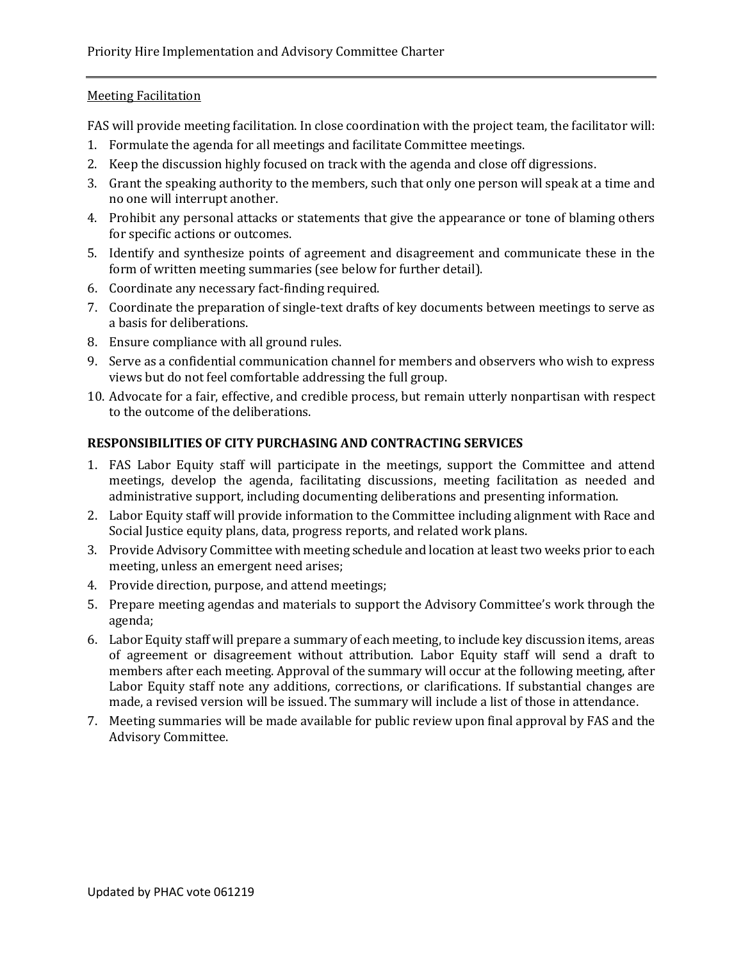## Meeting Facilitation

FAS will provide meeting facilitation. In close coordination with the project team, the facilitator will:

- 1. Formulate the agenda for all meetings and facilitate Committee meetings.
- 2. Keep the discussion highly focused on track with the agenda and close off digressions.
- 3. Grant the speaking authority to the members, such that only one person will speak at a time and no one will interrupt another.
- 4. Prohibit any personal attacks or statements that give the appearance or tone of blaming others for specific actions or outcomes.
- 5. Identify and synthesize points of agreement and disagreement and communicate these in the form of written meeting summaries (see below for further detail).
- 6. Coordinate any necessary fact-finding required.
- 7. Coordinate the preparation of single-text drafts of key documents between meetings to serve as a basis for deliberations.
- 8. Ensure compliance with all ground rules.
- 9. Serve as a confidential communication channel for members and observers who wish to express views but do not feel comfortable addressing the full group.
- 10. Advocate for a fair, effective, and credible process, but remain utterly nonpartisan with respect to the outcome of the deliberations.

# **RESPONSIBILITIES OF CITY PURCHASING AND CONTRACTING SERVICES**

- 1. FAS Labor Equity staff will participate in the meetings, support the Committee and attend meetings, develop the agenda, facilitating discussions, meeting facilitation as needed and administrative support, including documenting deliberations and presenting information.
- 2. Labor Equity staff will provide information to the Committee including alignment with Race and Social Justice equity plans, data, progress reports, and related work plans.
- 3. Provide Advisory Committee with meeting schedule and location at least two weeks prior to each meeting, unless an emergent need arises;
- 4. Provide direction, purpose, and attend meetings;
- 5. Prepare meeting agendas and materials to support the Advisory Committee's work through the agenda;
- 6. Labor Equity staff will prepare a summary of each meeting, to include key discussion items, areas of agreement or disagreement without attribution. Labor Equity staff will send a draft to members after each meeting. Approval of the summary will occur at the following meeting, after Labor Equity staff note any additions, corrections, or clarifications. If substantial changes are made, a revised version will be issued. The summary will include a list of those in attendance.
- 7. Meeting summaries will be made available for public review upon final approval by FAS and the Advisory Committee.